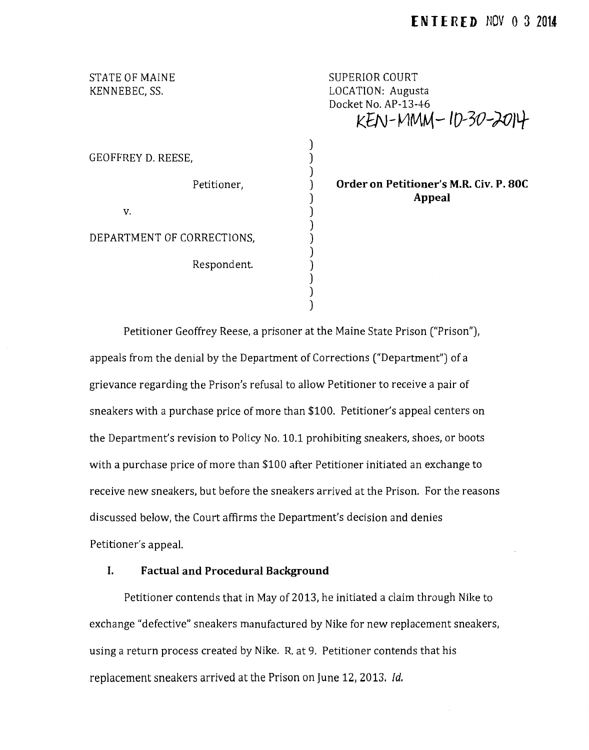STATE OF MAINE KENNEBEC, SS.

SUPERIOR COURT LOCATION: Augusta Docket No. AP-13-46 **KfN-vUv\M-ID-30-)0JLJ-**

GEOFFREY D. REESE,

v.

DEPARTMENT OF CORRECTIONS,

Respondent.

Petitioner,

**Order on Petitioner's M.R. Civ. P. SOC Appeal** 

Petitioner Geoffrey *Reese,* a prisoner at the Maine State Prison ("Prison"), appeals from the denial by the Department of Corrections ("Department") of a grievance regarding the Prison's refusal to allow Petitioner to receive a pair of sneakers with a purchase price of more than \$100. Petitioner's appeal centers on the Department's revision to Policy No. 10.1 prohibiting sneakers, *shoes,* or boots with a purchase price of more than \$100 after Petitioner initiated an exchange to receive new sneakers, but before the sneakers arrived at the Prison. For the reasons discussed below, the Court affirms the Department's decision and denies Petitioner's appeal.

) ) ) ) ) ) ) ) ) ) ) ) )

## **I. Factual and Procedural Background**

Petitioner contends that in May of 2013, he initiated a claim through Nike to exchange "defective" sneakers manufactured by Nike for new replacement sneakers, using a return process created by Nike. R. at 9. Petitioner contends that his replacement sneakers arrived at the Prison on June *12,* 2013. *!d.*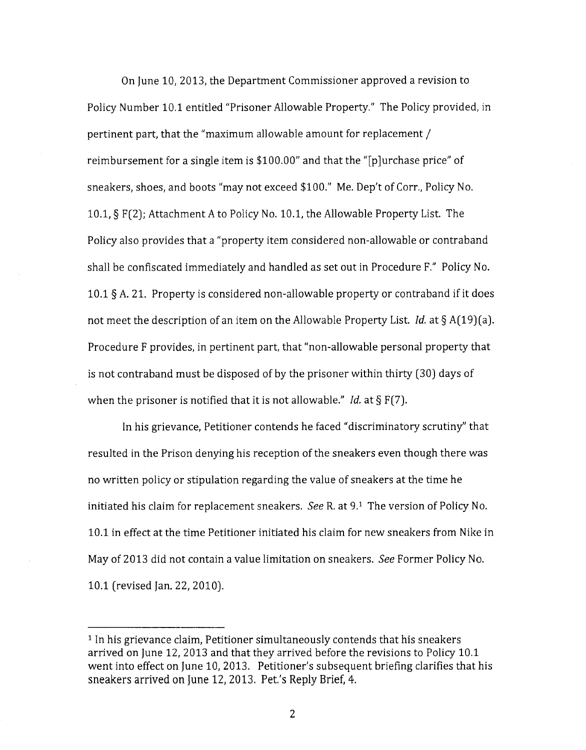On June 10, 2013, the Department Commissioner approved a revision to Policy Number 10.1 entitled "Prisoner Allowable Property." The Policy provided, in pertinent part, that the "maximum allowable amount for replacement / reimbursement for a single item is *\$100.00"* and that the "[p ]urchase price" of sneakers, shoes, and boots "may not exceed *\$100."* Me. Dep't of Carr., Policy No. 10.1, § F(2); Attachment A to Policy No. 10.1, the Allowable Property List. The Policy also provides that a "property item considered non-allowable or contraband shall be confiscated immediately and handled as set out in Procedure F." Policy No. 10.1 §A. 21. Property is considered non-allowable property or contraband if it does not meet the description of an item on the Allowable Property List. *!d.* at§ A(19)(a). Procedure F provides, in pertinent part, that "non-allowable personal property that is not contraband must be disposed of by the prisoner within thirty (30) days of when the prisoner is notified that it is not allowable." *!d.* at§ F(7).

In his grievance, Petitioner contends he faced "discriminatory scrutiny" that resulted in the Prison denying his reception of the sneakers even though there was no written policy or stipulation regarding the value of sneakers at the time he initiated his claim for replacement sneakers. See R. at  $9.1$  The version of Policy No. 10.1 in effect at the time Petitioner initiated his claim for new sneakers from Nike in May of 2013 did not contain a value limitation on sneakers. See Former Policy No. 10.1 (revised Jan. 22, 2010).

<sup>&</sup>lt;sup>1</sup> In his grievance claim, Petitioner simultaneously contends that his sneakers arrived on June 12, 2013 and that they arrived before the revisions to Policy 10.1 went into effect on June 10, 2013. Petitioner's subsequent briefing clarifies that his sneakers arrived on June 12, 2013. Pet.'s Reply Brief, 4.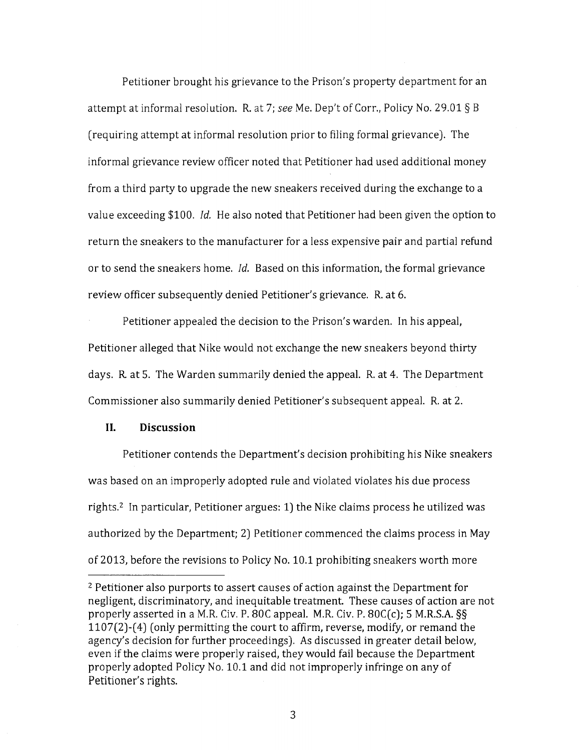Petitioner brought his grievance to the Prison's property department for an attempt at informal resolution. R. at 7; *see* Me. Dep't of Carr., Policy No. 29.01 § B (requiring attempt at informal resolution prior to filing formal grievance). The informal grievance review officer noted that Petitioner had used additional money from a third party to upgrade the new sneakers received during the exchange to a value exceeding \$100. *!d.* He also noted that Petitioner had been given the option to return the sneakers to the manufacturer for a less expensive pair and partial refund or to send the sneakers home. *!d.* Based on this information, the formal grievance review officer subsequently denied Petitioner's grievance. R. at 6.

Petitioner appealed the decision to the Prison's warden. In his appeal, Petitioner alleged that Nike would not exchange the new sneakers beyond thirty days. R at 5. The Warden summarily denied the appeal. R. at 4. The Department Commissioner also summarily denied Petitioner's subsequent appeal. R. at 2.

### **II. Discussion**

Petitioner contends the Department's decision prohibiting his Nike sneakers was based on an improperly adopted rule and violated violates his due process rights.<sup>2</sup> In particular, Petitioner argues: 1) the Nike claims process he utilized was authorized by the Department; 2) Petitioner commenced the claims process in May of 2013, before the revisions to Policy No. 10.1 prohibiting sneakers worth more

<sup>2</sup> Petitioner also purports to assert causes of action against the Department for negligent, discriminatory, and inequitable treatment. These causes of action are not properly asserted in a M.R. Civ. P. 80C appeal. M.R. Civ. P. 80C(c); 5 M.R.S.A. §§ 1107(2)-( 4) (only permitting the court to affirm, reverse, modify, or remand the agency's decision for further proceedings). As discussed in greater detail below, even if the claims were properly raised, they would fail because the Department properly adopted Policy No. 10.1 and did not improperly infringe on any of Petitioner's rights.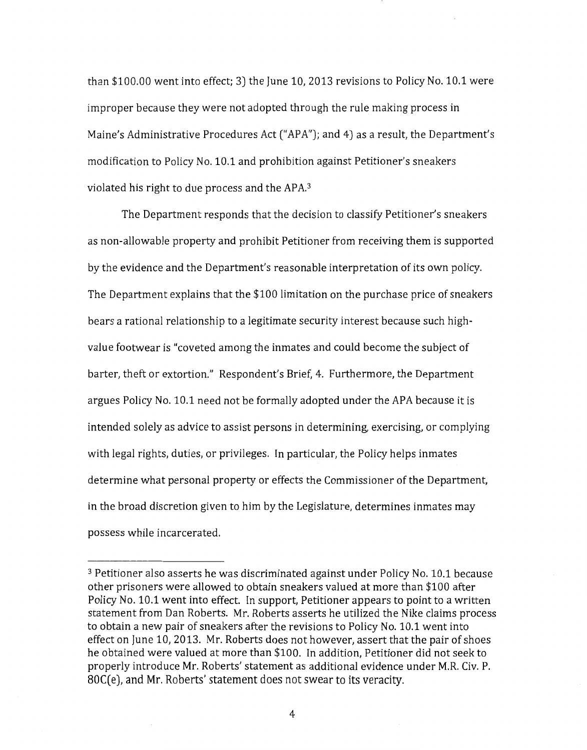than \$100.00 went into effect; 3) the June 10, 2013 revisions to Policy No. 10.1 were improper because they were not adopted through the rule making process in Maine's Administrative Procedures Act ("APA"); and 4) as a result, the Department's modification to Policy No. 10.1 and prohibition against Petitioner's sneakers violated his right to due process and the APA.<sup>3</sup>

The Department responds that the decision to classify Petitioner's sneakers as non-allowable property and prohibit Petitioner from receiving them is supported by the evidence and the Department's reasonable interpretation of its own policy. The Department explains that the \$100 limitation on the purchase price of sneakers bears a rational relationship to a legitimate security interest because such highvalue footwear is "coveted among the inmates and could become the subject of barter, theft or extortion." Respondent's Brief, 4. Furthermore, the Department argues Policy No. 10.1 need not be formally adopted under the APA because it is intended solely as advice to assist persons in determining, exercising, or complying with legal rights, duties, or privileges. In particular, the Policy helps inmates determine what personal property or effects the Commissioner of the Department, in the broad discretion given to him by the Legislature, determines inmates may possess while incarcerated.

<sup>3</sup> Petitioner also asserts he was discriminated against under Policy No. 10.1 because other prisoners were allowed to obtain sneakers valued at more than \$100 after Policy No. 10.1 went into effect. In support, Petitioner appears to point to a written statement from Dan Roberts. Mr. Roberts asserts he utilized the Nike claims process to obtain a new pair of sneakers after the revisions to Policy No. 10.1 went into effect on June 10, 2013. Mr. Roberts does not however, assert that the pair of shoes he obtained were valued at more than \$100. In addition, Petitioner did not seek to properly introduce Mr. Roberts' statement as additional evidence under M.R. Civ. P. SOC( e), and Mr. Roberts' statement does not swear to its veracity.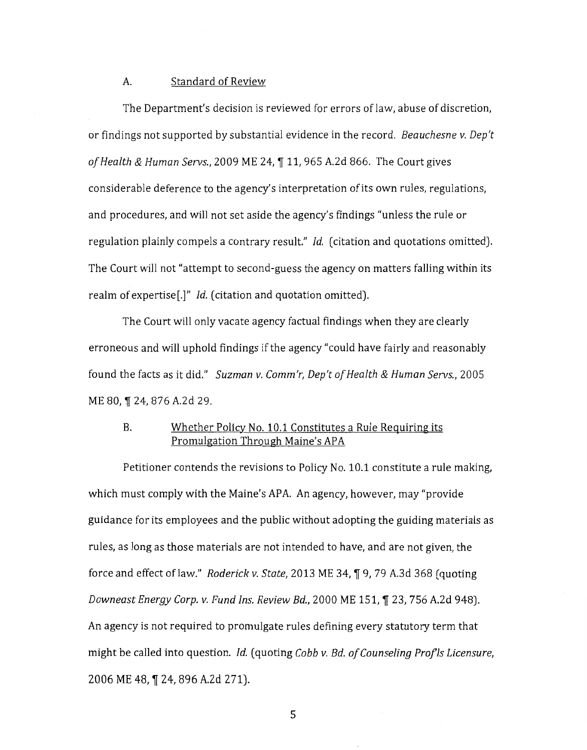## A. Standard of Review

The Department's decision is reviewed for errors of law, abuse of discretion, or findings not supported by substantial evidence in the record. *Beauchesne v. Dep't of Health & Human Servs.,* 2009 ME 24, \, 11, 965 A.2d 866. The Court gives considerable deference to the agency's interpretation of its own rules, regulations, and procedures, and will not set aside the agency's findings "unless the rule or regulation plainly compels a contrary result." */d.* (citation and quotations omitted). The Court will not "attempt to second-guess the agency on matters falling within its realm of expertise[.]" */d.* (citation and quotation omitted).

The Court will only vacate agency factual findings when they are clearly erroneous and will uphold findings if the agency "could have fairly and reasonably found the facts as it did." *Suzman v. Comm'r, Dep't of Health* & *Human Servs.,* 2005 ME 80, ¶ 24, 876 A.2d 29.

## B. Whether Policy No. 10.1 Constitutes a Rule Requiring its Promulgation Through Maine's APA

Petitioner contends the revisions to Policy No. 10.1 constitute a rule making, which must comply with the Maine's APA. An agency, however, may "provide" guidance for its employees and the public without adopting the guiding materials as rules, as long as those materials are not intended to have, and are not given, the force and effect of law." *Roderick v. State*, 2013 ME 34, ¶ 9, 79 A.3d 368 (quoting *Downeast Energy Corp. v. Fund Ins. Review Bd.,* 2000 ME 151, ¶ 23, 756 A.2d 948). An agency is not required to promulgate rules defining every statutory term that might be called into question. */d.* (quoting *Cobb v. Bd. of Counseling Profls Licensure,*  2006 ME 48, ¶ 24, 896 A.2d 271).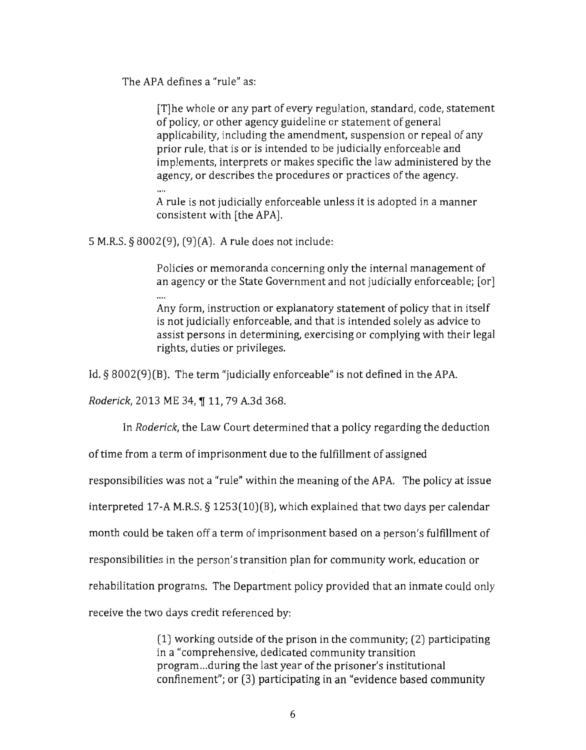The APA defines a "rule" as:

[T]he whole or any part of every regulation, standard, code, statement of policy, or other agency guideline or statement of general applicability, including the amendment, suspension or repeal of any prior rule, that is or is intended to be judicially enforceable and implements, interprets or makes specific the law administered by the agency, or describes the procedures or practices of the agency.

 $\ddotsc$ 

A rule is not judicially enforceable unless it is adopted in a manner consistent with [the APA].

5 M.R.S. § 8002(9), (9)(A). A rule does not include:

Policies or memoranda concerning only the internal management of an agency or the State Government and not judicially enforceable; [or]

Any form, instruction or explanatory statement of policy that in itself is not judicially enforceable, and that is intended solely as advice to assist persons in determining, exercising or complying with their legal rights, duties or privileges.

Id. § 8002(9)(B). The term "judicially enforceable" is not defined in the APA.

*Roderick, 2013 ME 34, ¶ 11, 79 A.3d 368.* 

In *Roderick,* the Law Court determined that a policy regarding the deduction

of time from a term of imprisonment due to the fulfillment of assigned

responsibilities was not a "rule" within the meaning ofthe APA. The policy at issue

interpreted 17-A M.R.S. § 1253(10)(8), which explained that two days per calendar

month could be taken off a term of imprisonment based on a person's fulfillment of

responsibilities in the person's transition plan for community work, education or

rehabilitation programs. The Department policy provided that an inmate could only

receive the two days credit referenced by:

(1) working outside of the prison in the community; (2) participating in a "comprehensive, dedicated community transition program ... during the last year of the prisoner's institutional confinement"; or (3) participating in an "evidence based community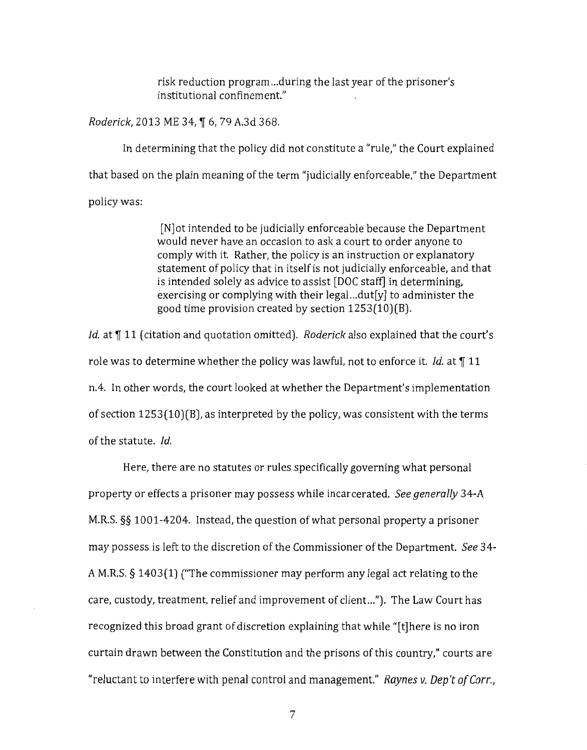risk reduction program ... during the last year of the prisoner's institutional confinement."

*Roderick*, 2013 ME 34, ¶ 6, 79 A.3d 368.

In determining that the policy did not constitute a "rule," the Court explained that based on the plain meaning of the term "judicially enforceable," the Department policy was:

> [N]ot intended to be judicially enforceable because the Department would never have an occasion to ask a court to order anyone to comply with it. Rather, the policy is an instruction or explanatory statement of policy that in itself is not judicially enforceable, and that is intended solely as advice to assist [DOC staff] in determining, exercising or complying with their legal...dut[y] to administer the good time provision created by section 1253(10)(B).

*Id.* at ¶ 11 (citation and quotation omitted). *Roderick* also explained that the court's role was to determine whether the policy was lawful, not to enforce it. *Id.* at  $\P$  11 n.4. In other words, the court looked at whether the Department's implementation of section 1253(10)(B), as interpreted by the policy, was consistent with the terms of the statute. */d.* 

Here, there are no statutes or rules specifically governing what personal property or effects a prisoner may possess while incarcerated. *See generally* 34-A M.R.S. §§ 1001-4204. Instead, the question of what personal property a prisoner may possess is left to the discretion of the Commissioner of the Department. *See* 34- A M.R.S. § 1403(1) ("The commissioner may perform any legal act relating to the care, custody, treatment, relief and improvement of client ... "). The Law Court has recognized this broad grant of discretion explaining that while "[t]here is no iron curtain drawn between the Constitution and the prisons of this country," courts are "reluctant to interfere with penal control and management." *Raynes v. Dep't of Carr.,*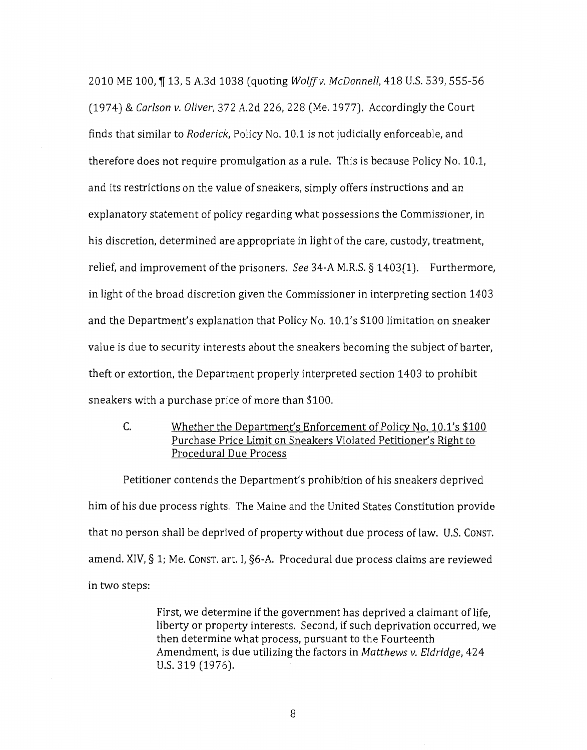2010 ME 100, ~ 13, 5 A.3d 1038 (quoting *Wolffv. McDonnell,* 418 U.S. 539, 555-56 (1974) & *Carlson v. Oliver,* 372 A.2d 226, 228 (Me. 1977). Accordingly the Court finds that similar to *Roderick,* Policy No. 10.1 is not judicially enforceable, and therefore does not require promulgation as a rule. This is because Policy No. 10.1, and its restrictions on the value of sneakers, simply offers instructions and an explanatory statement of policy regarding what possessions the Commissioner, in his discretion, determined are appropriate in light of the care, custody, treatment, relief, and improvement of the prisoners. *See* 34-A M.R.S. § 1403(1). Furthermore, in light of the broad discretion given the Commissioner in interpreting section 1403 and the Department's explanation that Policy No. 10.1's \$100 limitation on sneaker value is due to security interests about the sneakers becoming the subject of barter, theft or extortion, the Department properly interpreted section 1403 to prohibit sneakers with a purchase price of more than \$100.

# C. Whether the Department's Enforcement of Policy No. 10.1's \$100 Purchase Price Limit on Sneakers Violated Petitioner's Right to Procedural Due Process

Petitioner contends the Department's prohibition of his sneakers deprived him of his due process rights. The Maine and the United States Constitution provide that no person shall be deprived of property without due process of law. U.S. Const. amend. XIV,  $\S$  1; Me. Const. art. I,  $\S$ 6-A. Procedural due process claims are reviewed in two steps:

> First, we determine if the government has deprived a claimant of life, liberty or property interests. Second, if such deprivation occurred, we then determine what process, pursuant to the Fourteenth Amendment, is due utilizing the factors in *Matthews v. Eldridge,* 424 u.s. 319 (1976).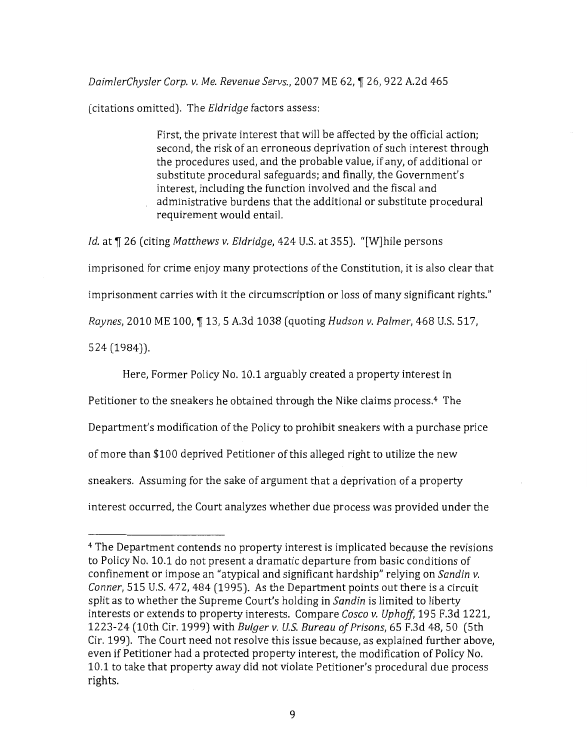*DaimlerChysler Corp. v. Me. Revenue Servs.,* 2007 ME 62, ~ 26, 922 A.2d 465

(citations omitted). The *Eldridge* factors assess:

First, the private interest that will be affected by the official action; second, the risk of an erroneous deprivation of such interest through the procedures used, and the probable value, if any, of additional or substitute procedural safeguards; and finally, the Government's interest, including the function involved and the fiscal and administrative burdens that the additional or substitute procedural requirement would entail.

*ld.* at  $\P$  26 (citing *Matthews v. Eldridge*, 424 U.S. at 355). "[W]hile persons imprisoned for crime enjoy many protections of the Constitution, it is also clear that imprisonment carries with it the circumscription or loss of many significant rights." *Raynes,* 2010 ME 100, ~ 13, 5 A.3d 1038 (quoting *Hudson v. Palmer,* 468 U.S. 517, 524 (1984)).

Here, Former Policy No. 10.1 arguably created a property interest in Petitioner to the sneakers he obtained through the Nike claims process.4 The Department's modification of the Policy to prohibit sneakers with a purchase price of more than \$100 deprived Petitioner of this alleged right to utilize the new sneakers. Assuming for the sake of argument that a deprivation of a property interest occurred, the Court analyzes whether due process was provided under the

<sup>4</sup> The Department contends no property interest is implicated because the revisions to Policy No. 10.1 do not present a dramatic departure from basic conditions of confinement or impose an "atypical and significant hardship" relying on *Sandin v. Conner*, 515 U.S. 472, 484 (1995). As the Department points out there is a circuit split as to whether the Supreme *Court's* holding in *Sandin* is limited to liberty interests or extends to property interests. Compare *Cosco v. Uphoff*, 195 F.3d 1221, 1223-24 (10th Cir. 1999) with *Bulger v.* U.S. *Bureau of Prisons,* 65 F. 3d 48, 50 (5th Cir. 199). The Court need not resolve this issue because, as explained further above, even if Petitioner had a protected property interest, the modification of Policy No. 10.1 to take that property away did not violate Petitioner's procedural due process rights.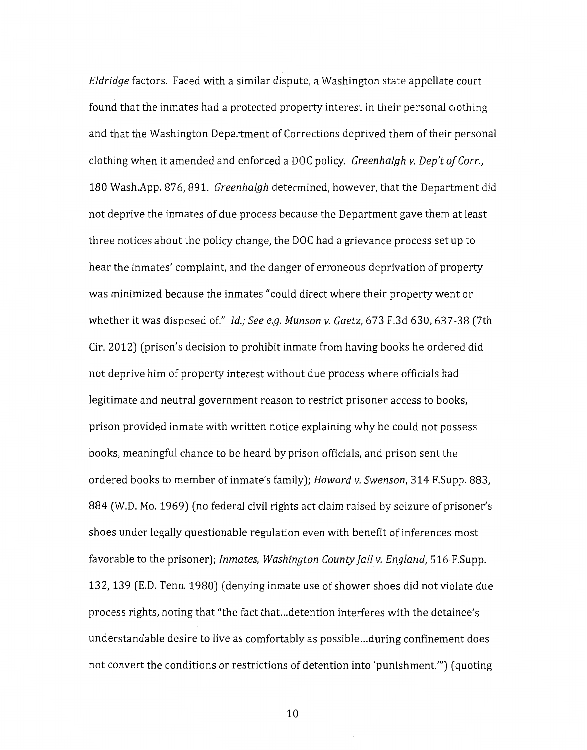*Eldridge* factors. Faced with a similar dispute, a Washington state appellate court found that the inmates had a protected property interest in their personal clothing and that the Washington Department of Corrections deprived them of their personal clothing when it amended and enforced a DOC policy. *Greenhalgh v. Dep't ofCorr.,*  180 Wash.App. 876, 891. *Greenhalgh* determined, however, that the Department did not deprive the inmates of due process because the Department gave them at least three notices about the policy change, the DOC had a grievance process set up to hear the inmates' complaint, and the danger of erroneous deprivation of property was minimized because the inmates "could direct where their property went or whether it was disposed of." *!d.; See e.g. Munson v. Gaetz,* 673 F.3d 630, 637-38 (7th Cir. 2012) (prison's decision to prohibit inmate from having books he ordered did not deprive him of property interest without due process where officials had legitimate and neutral government reason to restrict prisoner access to books, prison provided inmate with written notice explaining why he could not possess books, meaningful chance to be heard by prison officials, and prison sent the ordered books to member of inmate's family); *Howard v. Swenson,* 314 F.Supp. 883, 884 (W.D. Mo. 1969) (no federal civil rights act claim raised by seizure of prisoner's shoes under legally questionable regulation even with benefit of inferences most favorable to the prisoner); *Inmates, Washington County jail v. England,* 516 F.Supp. 13 2, 139 (E. D. Tenn. 1980) (denying inmate use of shower shoes did not violate due process rights, noting that "the fact that ... detention interferes with the detainee's understandable desire to live as comfortably as possible ... during confinement does not convert the conditions or restrictions of detention into 'punishment."') (quoting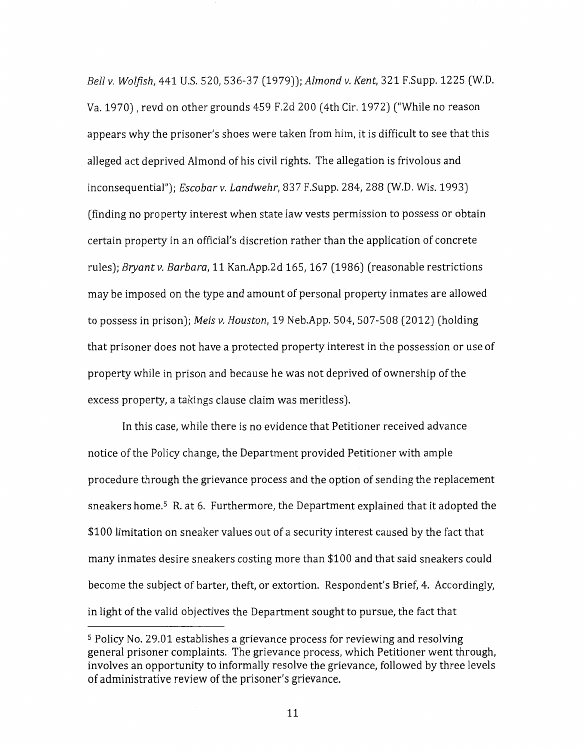*Bell v. Wolfish,* 441 U.S. 520, 536-37 (1979)); *Almond v. Kent,* 321 F.Supp. 1225 (W.D. Va. 1970), revd on other grounds 459 F.2d 200 (4th Cir. 1972) ("While no reason appears why the prisoner's shoes were taken from him, it is difficult to see that this alleged act deprived Almond of his civil rights. The allegation is frivolous and inconsequential"); *Escobar v. Landwehr,* 837 F.Supp. 284, 288 (W.D. Wis. 1993) (finding no property interest when state law vests permission to possess or obtain certain property in an official's discretion rather than the application of concrete rules); *Bryantv. Barbara,* 11 Kan.App.2d 165, 167 (1986) (reasonable restrictions may be imposed on the type and amount of personal property inmates are allowed to possess in prison); *Meis v. Houston,* 19 Neb.App. 504, 507-508 (2012) (holding that prisoner does not have a protected property interest in the possession or use of property while in prison and because he was not deprived of ownership of the excess property, a takings clause claim was meritless).

In this case, while there is no evidence that Petitioner received advance notice of the Policy change, the Department provided Petitioner with ample procedure through the grievance process and the option of sending the replacement sneakers home.<sup>5</sup> R. at 6. Furthermore, the Department explained that it adopted the \$100 limitation on sneaker values out of a security interest caused by the fact that many inmates desire sneakers costing more than \$100 and that said sneakers could become the subject of barter, theft, or extortion. Respondent's Brief, 4. Accordingly, in light of the valid objectives the Department sought to pursue, the fact that

<sup>5</sup> Policy No. 29.01 establishes a grievance process for reviewing and resolving general prisoner complaints. The grievance process, which Petitioner went through, involves an opportunity to informally resolve the grievance, followed by three levels of administrative review of the prisoner's grievance.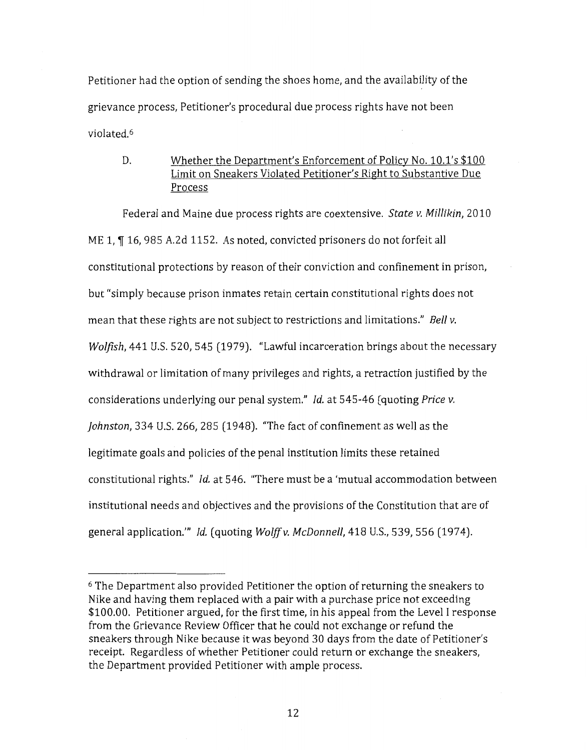Petitioner had the option of sending the shoes home, and the availability of the grievance process, Petitioner's procedural due process rights have not been violated.6

# D. Whether the Department's Enforcement of Policy No. 10.1's \$100 Limit on Sneakers Violated Petitioner's Right to Substantive Due Process

Federal and Maine due process rights are coextensive. *State v. Millikin,* 2010 ME 1,  $\P$  16, 985 A.2d 1152. As noted, convicted prisoners do not forfeit all constitutional protections by reason of their conviction and confinement in prison, but "simply because prison inmates retain certain constitutional rights does not mean that these rights are not subject to restrictions and limitations." *Bell v. Wolfish,* 441 U.S. 520, 545 (1979). "Lawful incarceration brings about the necessary withdrawal or limitation of many privileges and rights, a retraction justified by the considerations underlying our penal system." */d.* at 545-46 (quoting *Price v. johnston,* 334 U.S. 266, 285 (1948). "The fact of confinement as well as the legitimate goals and policies of the penal institution limits these retained constitutional rights." */d.* at 546. "There must be a 'mutual accommodation between institutional needs and objectives and the provisions of the Constitution that are of general application."' *!d.* (quoting *Wolffv. McDonnell,* 418 U.S., 539,556 (1974).

<sup>6</sup> The Department also provided Petitioner the option of returning the sneakers to Nike and having them replaced with a pair with a purchase price not exceeding \$100.00. Petitioner argued, for the first time, in his appeal from the Level I response from the Grievance Review Officer that he could not exchange or refund the sneakers through Nike because it was beyond 30 days from the date of Petitioner's receipt. Regardless of whether Petitioner could return or exchange the sneakers, the Department provided Petitioner with ample process.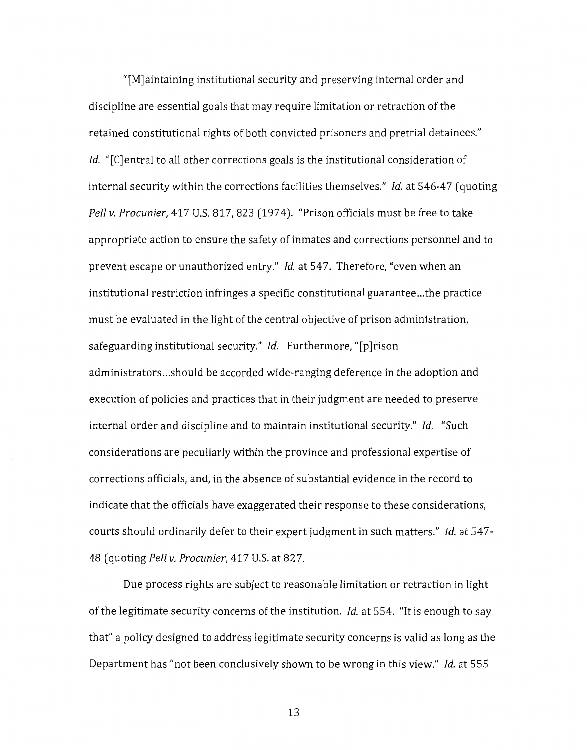"[M]aintaining institutional security and preserving internal order and discipline are essential goals that may require limitation or retraction of the retained constitutional rights of both convicted prisoners and pretrial detainees." *Id.* "[C] entral to all other corrections goals is the institutional consideration of internal security within the corrections facilities themselves." *Id.* at 546-47 (quoting *Pell v. Procunier,* 417 U.S. 817,823 (1974). "Prison officials must be free to take appropriate action to ensure the safety of inmates and corrections personnel and to prevent escape or unauthorized entry." *!d.* at 547. Therefore, "even when an institutional restriction infringes a specific constitutional guarantee ... the practice must be evaluated in the light of the central objective of prison administration, safeguarding institutional security." *!d.* Furthermore, "[p]rison administrators ... should be accorded wide-ranging deference in the adoption and execution of policies and practices that in their judgment are needed to preserve internal order and discipline and to maintain institutional security." *!d.* "Such considerations are peculiarly within the province and professional expertise of corrections officials, and, in the absence of substantial evidence in the record to indicate that the officials have exaggerated their response to these considerations, courts should ordinarily defer to their expert judgment in such matters." *!d.* at 547- 48 (quoting *Pellv. Procunier,* 417 U.S. at 827.

Due process rights are subject to reasonable limitation or retraction in light of the legitimate security concerns of the institution. *!d.* at 554. "It is enough to say that" a policy designed to address legitimate security concerns is valid as long as the Department has "not been conclusively shown to be wrong in this view." *!d.* at 555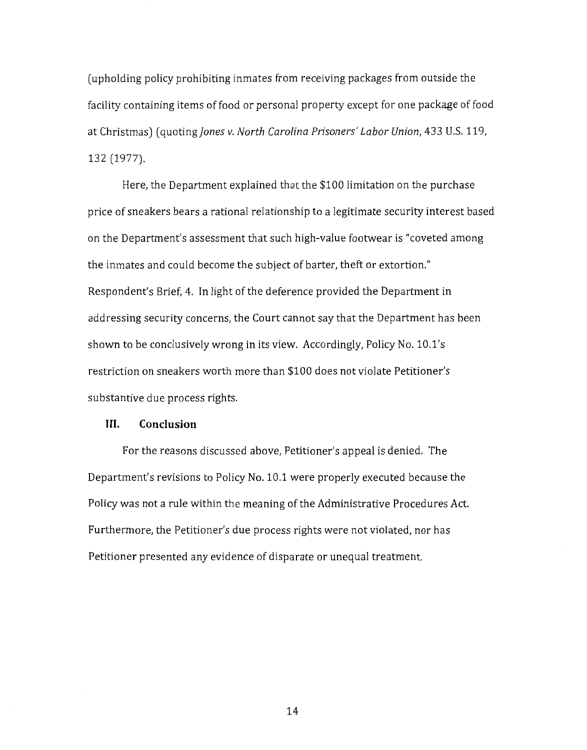(upholding policy prohibiting inmates from receiving packages from outside the facility containing items of food or personal property except for one package of food at Christmas) (quoting *Jones v. North Carolina Prisoners' Labor Union*, 433 U.S. 119, 132 (1977).

Here, the Department explained that the \$100 limitation on the purchase price of sneakers bears a rational relationship to a legitimate security interest based on the Department's assessment that such high-value footwear is "coveted among the inmates and could become the subject of barter, theft or extortion." Respondent's Brief, 4. In light of the deference provided the Department in addressing security concerns, the Court cannot say that the Department has been shown to be conclusively wrong in its view. Accordingly, Policy No. 10.1's restriction on sneakers worth more than \$100 does not violate Petitioner's substantive due process rights.

### III. **Conclusion**

For the reasons discussed above, Petitioner's appeal is denied. The Department's revisions to Policy No. 10.1 were properly executed because the Policy was not a rule within the meaning of the Administrative Procedures Act. Furthermore, the Petitioner's due process rights were not violated, nor has Petitioner presented any evidence of disparate or unequal treatment.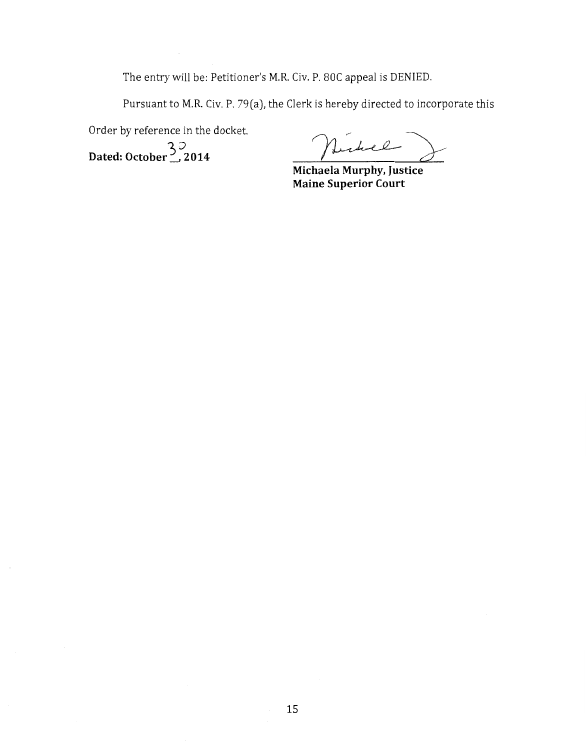The entry will be: Petitioner's M.R. Civ. P. 80C appeal is DENIED.

Pursuant to M.R. Civ. P. 79(a), the Clerk is hereby directed to incorporate this

Order by reference in the docket.

)0 **Dated: October-' 2014** 

**Michaela**  ~=:r **Murphy, Justice** 

**Maine Superior Court**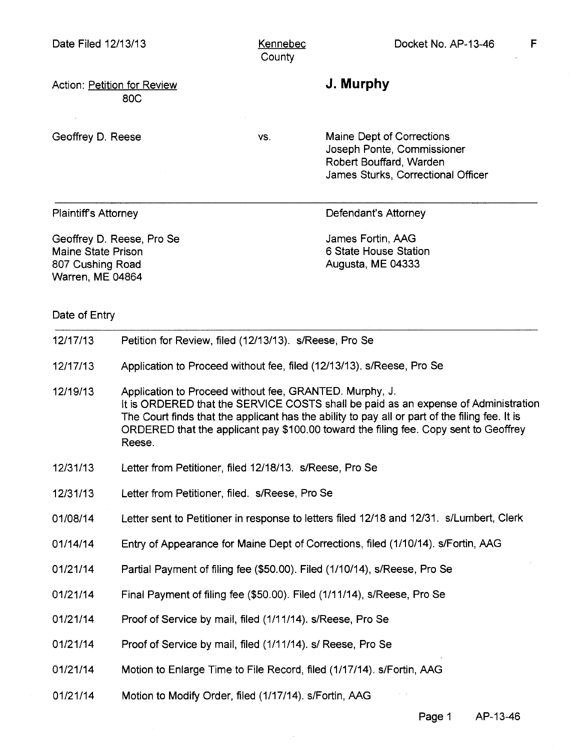Kennebec **County** 

Action: Petition for Review 80C

Geoffrey D. Reese

vs.

**J. Murphy** 

Maine Dept of Corrections Joseph Ponte, Commissioner Robert Bouffard, Warden James Sturks, Correctional Officer

Plaintiffs Attorney

Defendant's Attorney

Geoffrey D. Reese, Pro Se Maine State Prison 807 Cushing Road Warren, ME 04864

James Fortin, AAG 6 State House Station Augusta, ME 04333

Date of Entry

| 12/17/13 | Petition for Review, filed (12/13/13). s/Reese, Pro Se                                                                                                                                                                                                                                                                                            |
|----------|---------------------------------------------------------------------------------------------------------------------------------------------------------------------------------------------------------------------------------------------------------------------------------------------------------------------------------------------------|
| 12/17/13 | Application to Proceed without fee, filed (12/13/13). s/Reese, Pro Se                                                                                                                                                                                                                                                                             |
| 12/19/13 | Application to Proceed without fee, GRANTED. Murphy, J.<br>It is ORDERED that the SERVICE COSTS shall be paid as an expense of Administration<br>The Court finds that the applicant has the ability to pay all or part of the filing fee. It is<br>ORDERED that the applicant pay \$100.00 toward the filing fee. Copy sent to Geoffrey<br>Reese. |
| 12/31/13 | Letter from Petitioner, filed 12/18/13. s/Reese, Pro Se                                                                                                                                                                                                                                                                                           |
| 12/31/13 | Letter from Petitioner, filed. s/Reese, Pro Se                                                                                                                                                                                                                                                                                                    |
| 01/08/14 | Letter sent to Petitioner in response to letters filed 12/18 and 12/31. s/Lumbert, Clerk                                                                                                                                                                                                                                                          |
| 01/14/14 | Entry of Appearance for Maine Dept of Corrections, filed (1/10/14). s/Fortin, AAG                                                                                                                                                                                                                                                                 |
| 01/21/14 | Partial Payment of filing fee (\$50.00). Filed (1/10/14), s/Reese, Pro Se                                                                                                                                                                                                                                                                         |
| 01/21/14 | Final Payment of filing fee (\$50.00). Filed (1/11/14), s/Reese, Pro Se                                                                                                                                                                                                                                                                           |
| 01/21/14 | Proof of Service by mail, filed (1/11/14). s/Reese, Pro Se                                                                                                                                                                                                                                                                                        |
| 01/21/14 | Proof of Service by mail, filed (1/11/14). s/ Reese, Pro Se                                                                                                                                                                                                                                                                                       |
| 01/21/14 | Motion to Enlarge Time to File Record, filed (1/17/14). s/Fortin, AAG                                                                                                                                                                                                                                                                             |
| 01/21/14 | Motion to Modify Order, filed (1/17/14). s/Fortin, AAG                                                                                                                                                                                                                                                                                            |

Page 1 AP-13-46

F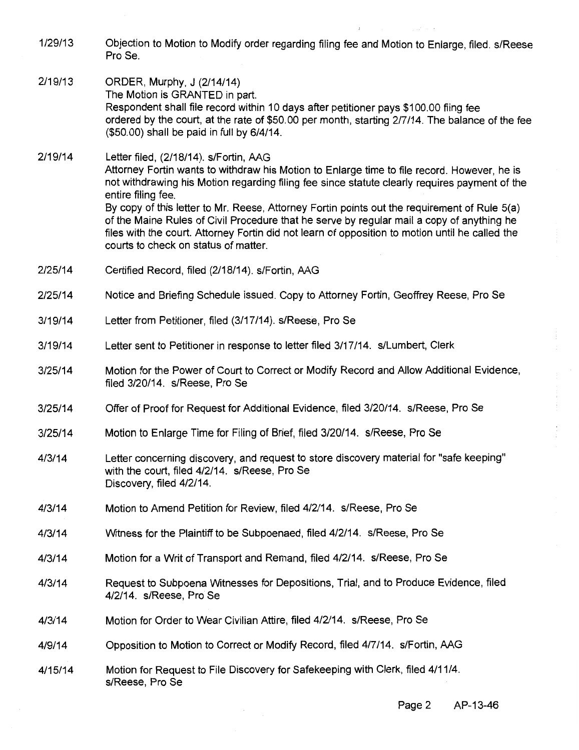- 1/29/13 Objection to Motion to Modify order regarding filing fee and Motion to Enlarge, filed. s/Reese ProSe.
- 2/19/13 ORDER, Murphy, J (2/14/14) The Motion is GRANTED in part. Respondent shall file record within 10 days after petitioner pays \$100.00 fling fee ordered by the court, at the rate of \$50.00 per month, starting 2/7/14. The balance of the fee (\$50.00) shall be paid in full by 6/4/14.

2/19/14 Letter filed, (2/18/14). s/Fortin, AAG Attorney Fortin wants to withdraw his Motion to Enlarge time to file record. However, he is not withdrawing his Motion regarding filing fee since statute clearly requires payment of the entire filing fee. By copy of this letter to Mr. Reese, Attorney Fortin points out the requirement of Rule 5(a) of the Maine Rules of Civil Procedure that he serve by regular mail a copy of anything he files with the court. Attorney Fortin did not learn of opposition to motion until he called the courts to check on status of matter.

- 2/25/14 Certified Record, filed (2/18/14). s/Fortin, AAG
- 2/25/14 Notice and Briefing Schedule issued. Copy to Attorney Fortin, Geoffrey Reese, Pro Se
- 3/19/14 Letter from Petitioner, filed (3/17/14). s/Reese, Pro Se
- 3/19/14 Letter sent to Petitioner in response to letter filed 3/17/14. s/Lumbert, Clerk
- 3/25/14 Motion for the Power of Court to Correct or Modify Record and Allow Additional Evidence, filed 3/20/14. s/Reese, Pro Se
- 3/25/14 Offer of Proof for Request for Additional Evidence, filed 3/20/14. s/Reese, Pro Se
- 3/25/14 Motion to Enlarge Time for Filing of Brief, filed 3/20/14. s/Reese, Pro Se
- 4/3/14 Letter concerning discovery, and request to store discovery material for "safe keeping" with the court, filed 4/2/14. s/Reese, Pro Se Discovery, filed 4/2/14.
- 4/3/14 Motion to Amend Petition for Review, filed 4/2/14. s/Reese, Pro Se
- 4/3/14 Witness for the Plaintiff to be Subpoenaed, filed 4/2/14. s/Reese, Pro Se
- 4/3/14 Motion for a Writ of Transport and Remand, filed 4/2/14. s/Reese, Pro Se
- 4/3/14 Request to Subpoena Witnesses for Depositions, Trial, and to Produce Evidence, filed 4/2/14. s/Reese, Pro Se
- 4/3/14 Motion for Order to Wear Civilian Attire, filed 4/2/14. s/Reese, Pro Se
- 4/9/14 Opposition to Motion to Correct or Modify Record, filed 4/7/14. s/Fortin, AAG
- 4/15/14 Motion for Request to File Discovery for Safekeeping with Clerk, filed 4/11/4. s/Reese, Pro Se

Page 2 AP-13-46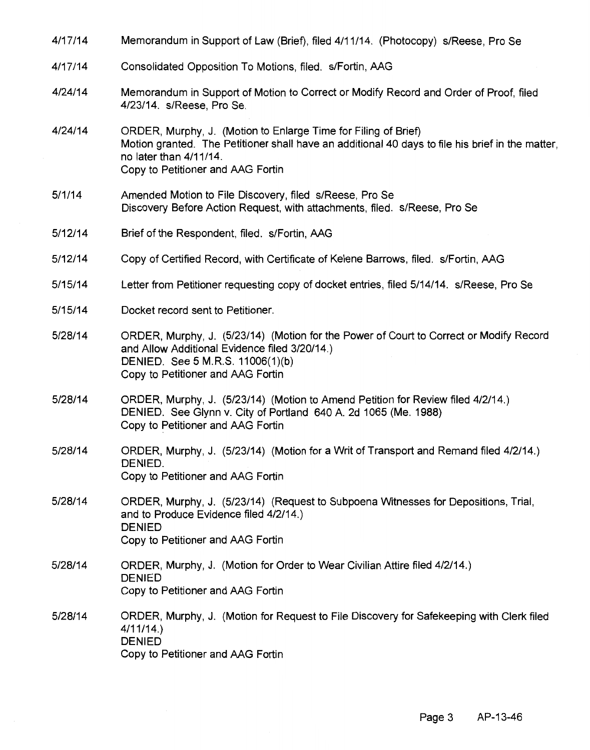| 4/17/14 | Memorandum in Support of Law (Brief), filed 4/11/14. (Photocopy) s/Reese, Pro Se                                                                                                                                                  |
|---------|-----------------------------------------------------------------------------------------------------------------------------------------------------------------------------------------------------------------------------------|
| 4/17/14 | Consolidated Opposition To Motions, filed. s/Fortin, AAG                                                                                                                                                                          |
| 4/24/14 | Memorandum in Support of Motion to Correct or Modify Record and Order of Proof, filed<br>4/23/14. s/Reese, Pro Se.                                                                                                                |
| 4/24/14 | ORDER, Murphy, J. (Motion to Enlarge Time for Filing of Brief)<br>Motion granted. The Petitioner shall have an additional 40 days to file his brief in the matter,<br>no later than 4/11/14.<br>Copy to Petitioner and AAG Fortin |
| 5/1/14  | Amended Motion to File Discovery, filed s/Reese, Pro Se<br>Discovery Before Action Request, with attachments, filed. s/Reese, Pro Se                                                                                              |
| 5/12/14 | Brief of the Respondent, filed. s/Fortin, AAG                                                                                                                                                                                     |
| 5/12/14 | Copy of Certified Record, with Certificate of Kelene Barrows, filed. s/Fortin, AAG                                                                                                                                                |
| 5/15/14 | Letter from Petitioner requesting copy of docket entries, filed 5/14/14. s/Reese, Pro Se                                                                                                                                          |
| 5/15/14 | Docket record sent to Petitioner.                                                                                                                                                                                                 |
| 5/28/14 | ORDER, Murphy, J. (5/23/14) (Motion for the Power of Court to Correct or Modify Record<br>and Allow Additional Evidence filed 3/20/14.)<br>DENIED. See 5 M.R.S. 11006(1)(b)<br>Copy to Petitioner and AAG Fortin                  |
| 5/28/14 | ORDER, Murphy, J. (5/23/14) (Motion to Amend Petition for Review filed 4/2/14.)<br>DENIED. See Glynn v. City of Portland 640 A. 2d 1065 (Me. 1988)<br>Copy to Petitioner and AAG Fortin                                           |
| 5/28/14 | ORDER, Murphy, J. (5/23/14) (Motion for a Writ of Transport and Remand filed 4/2/14.)<br>DENIED.<br>Copy to Petitioner and AAG Fortin                                                                                             |
| 5/28/14 | ORDER, Murphy, J. (5/23/14) (Request to Subpoena Witnesses for Depositions, Trial,<br>and to Produce Evidence filed 4/2/14.)<br><b>DENIED</b><br>Copy to Petitioner and AAG Fortin                                                |
| 5/28/14 | ORDER, Murphy, J. (Motion for Order to Wear Civilian Attire filed 4/2/14.)<br><b>DENIED</b><br>Copy to Petitioner and AAG Fortin                                                                                                  |
| 5/28/14 | ORDER, Murphy, J. (Motion for Request to File Discovery for Safekeeping with Clerk filed<br>4/11/14.<br><b>DENIED</b><br>Copy to Petitioner and AAG Fortin                                                                        |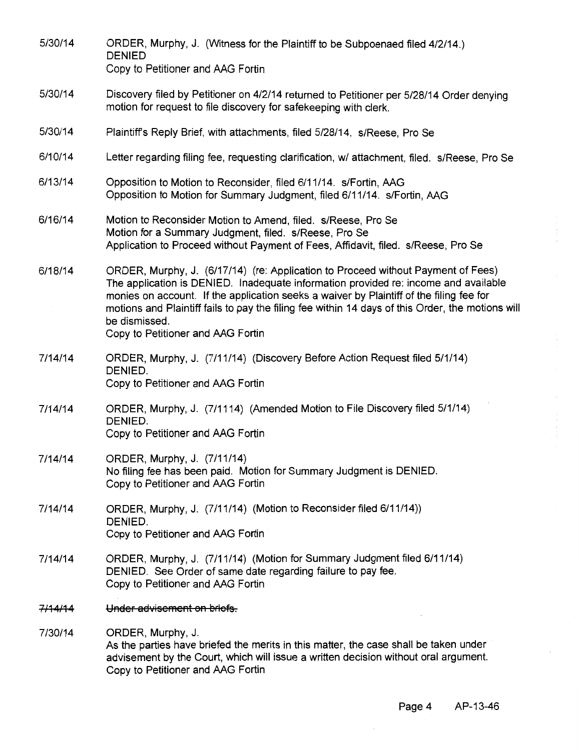| 5/30/14            | ORDER, Murphy, J. (Witness for the Plaintiff to be Subpoenaed filed 4/2/14.)<br><b>DENIED</b><br>Copy to Petitioner and AAG Fortin                                                                                                                                                                                                                                                                                           |
|--------------------|------------------------------------------------------------------------------------------------------------------------------------------------------------------------------------------------------------------------------------------------------------------------------------------------------------------------------------------------------------------------------------------------------------------------------|
|                    |                                                                                                                                                                                                                                                                                                                                                                                                                              |
| 5/30/14            | Discovery filed by Petitioner on 4/2/14 returned to Petitioner per 5/28/14 Order denying<br>motion for request to file discovery for safekeeping with clerk.                                                                                                                                                                                                                                                                 |
| 5/30/14            | Plaintiff's Reply Brief, with attachments, filed 5/28/14. s/Reese, Pro Se                                                                                                                                                                                                                                                                                                                                                    |
| 6/10/14            | Letter regarding filing fee, requesting clarification, w/ attachment, filed. s/Reese, Pro Se                                                                                                                                                                                                                                                                                                                                 |
| 6/13/14            | Opposition to Motion to Reconsider, filed 6/11/14. s/Fortin, AAG<br>Opposition to Motion for Summary Judgment, filed 6/11/14. s/Fortin, AAG                                                                                                                                                                                                                                                                                  |
| 6/16/14            | Motion to Reconsider Motion to Amend, filed. s/Reese, Pro Se<br>Motion for a Summary Judgment, filed. s/Reese, Pro Se<br>Application to Proceed without Payment of Fees, Affidavit, filed. s/Reese, Pro Se                                                                                                                                                                                                                   |
| 6/18/14            | ORDER, Murphy, J. (6/17/14) (re: Application to Proceed without Payment of Fees)<br>The application is DENIED. Inadequate information provided re: income and available<br>monies on account. If the application seeks a waiver by Plaintiff of the filing fee for<br>motions and Plaintiff fails to pay the filing fee within 14 days of this Order, the motions will<br>be dismissed.<br>Copy to Petitioner and AAG Fortin |
| 7/14/14            | ORDER, Murphy, J. (7/11/14) (Discovery Before Action Request filed 5/1/14)<br>DENIED.<br>Copy to Petitioner and AAG Fortin                                                                                                                                                                                                                                                                                                   |
| 7/14/14            | ORDER, Murphy, J. (7/1114) (Amended Motion to File Discovery filed 5/1/14)<br>DENIED.<br>Copy to Petitioner and AAG Fortin                                                                                                                                                                                                                                                                                                   |
| 7/14/14            | ORDER, Murphy, J. (7/11/14)<br>No filing fee has been paid. Motion for Summary Judgment is DENIED.<br>Copy to Petitioner and AAG Fortin                                                                                                                                                                                                                                                                                      |
| 7/14/14            | ORDER, Murphy, J. (7/11/14) (Motion to Reconsider filed 6/11/14))<br>DENIED.<br>Copy to Petitioner and AAG Fortin                                                                                                                                                                                                                                                                                                            |
| 7/14/14            | ORDER, Murphy, J. (7/11/14) (Motion for Summary Judgment filed 6/11/14)<br>DENIED. See Order of same date regarding failure to pay fee.<br>Copy to Petitioner and AAG Fortin                                                                                                                                                                                                                                                 |
| <del>7/14/14</del> | Under advisement on briefs.                                                                                                                                                                                                                                                                                                                                                                                                  |
| 7/30/14            | ORDER, Murphy, J.<br>As the parties have briefed the merits in this matter, the case shall be taken under<br>advisement by the Court, which will issue a written decision without oral argument.<br>Copy to Petitioner and AAG Fortin                                                                                                                                                                                        |